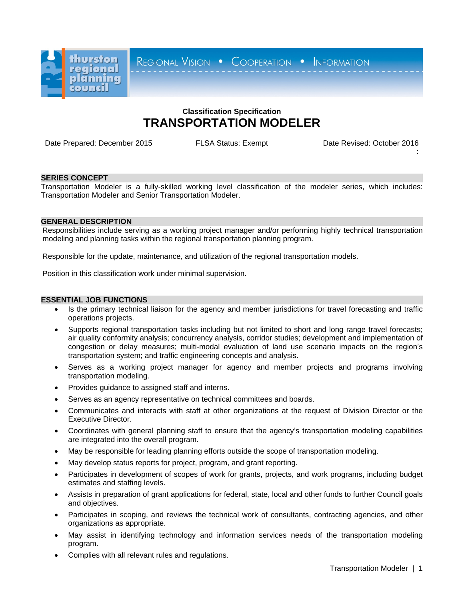

REGIONAL VISION . COOPERATION . INFORMATION

# **Classification Specification TRANSPORTATION MODELER**

Date Prepared: December 2015 FLSA Status: Exempt Date Revised: October 2016

:

### **SERIES CONCEPT**

Transportation Modeler is a fully-skilled working level classification of the modeler series, which includes: Transportation Modeler and Senior Transportation Modeler.

### **GENERAL DESCRIPTION**

Responsibilities include serving as a working project manager and/or performing highly technical transportation modeling and planning tasks within the regional transportation planning program.

Responsible for the update, maintenance, and utilization of the regional transportation models.

Position in this classification work under minimal supervision.

## **ESSENTIAL JOB FUNCTIONS**

- Is the primary technical liaison for the agency and member jurisdictions for travel forecasting and traffic operations projects.
- Supports regional transportation tasks including but not limited to short and long range travel forecasts; air quality conformity analysis; concurrency analysis, corridor studies; development and implementation of congestion or delay measures; multi-modal evaluation of land use scenario impacts on the region's transportation system; and traffic engineering concepts and analysis.
- Serves as a working project manager for agency and member projects and programs involving transportation modeling.
- Provides guidance to assigned staff and interns.
- Serves as an agency representative on technical committees and boards.
- Communicates and interacts with staff at other organizations at the request of Division Director or the Executive Director.
- Coordinates with general planning staff to ensure that the agency's transportation modeling capabilities are integrated into the overall program.
- May be responsible for leading planning efforts outside the scope of transportation modeling.
- May develop status reports for project, program, and grant reporting.
- Participates in development of scopes of work for grants, projects, and work programs, including budget estimates and staffing levels.
- Assists in preparation of grant applications for federal, state, local and other funds to further Council goals and objectives.
- Participates in scoping, and reviews the technical work of consultants, contracting agencies, and other organizations as appropriate.
- May assist in identifying technology and information services needs of the transportation modeling program.
- Complies with all relevant rules and regulations.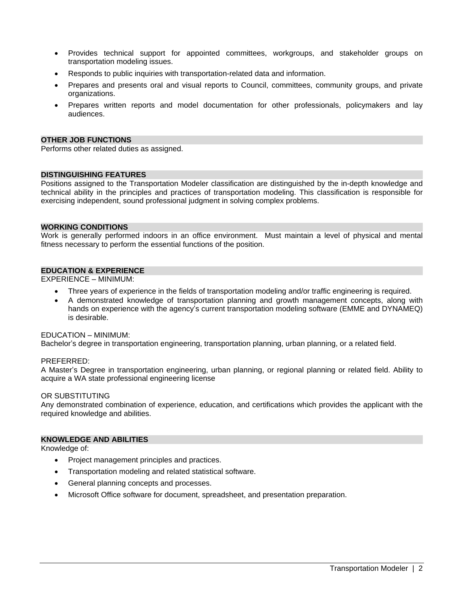- Provides technical support for appointed committees, workgroups, and stakeholder groups on transportation modeling issues.
- Responds to public inquiries with transportation-related data and information.
- Prepares and presents oral and visual reports to Council, committees, community groups, and private organizations.
- Prepares written reports and model documentation for other professionals, policymakers and lay audiences.

# **OTHER JOB FUNCTIONS**

Performs other related duties as assigned.

# **DISTINGUISHING FEATURES**

Positions assigned to the Transportation Modeler classification are distinguished by the in-depth knowledge and technical ability in the principles and practices of transportation modeling. This classification is responsible for exercising independent, sound professional judgment in solving complex problems.

# **WORKING CONDITIONS**

Work is generally performed indoors in an office environment. Must maintain a level of physical and mental fitness necessary to perform the essential functions of the position.

# **EDUCATION & EXPERIENCE**

EXPERIENCE – MINIMUM:

- Three years of experience in the fields of transportation modeling and/or traffic engineering is required.
- A demonstrated knowledge of transportation planning and growth management concepts, along with hands on experience with the agency's current transportation modeling software (EMME and DYNAMEQ) is desirable.

### EDUCATION – MINIMUM:

Bachelor's degree in transportation engineering, transportation planning, urban planning, or a related field.

### PREFERRED:

A Master's Degree in transportation engineering, urban planning, or regional planning or related field. Ability to acquire a WA state professional engineering license

### OR SUBSTITUTING

Any demonstrated combination of experience, education, and certifications which provides the applicant with the required knowledge and abilities.

# **KNOWLEDGE AND ABILITIES**

Knowledge of:

- Project management principles and practices.
- Transportation modeling and related statistical software.
- General planning concepts and processes.
- Microsoft Office software for document, spreadsheet, and presentation preparation.